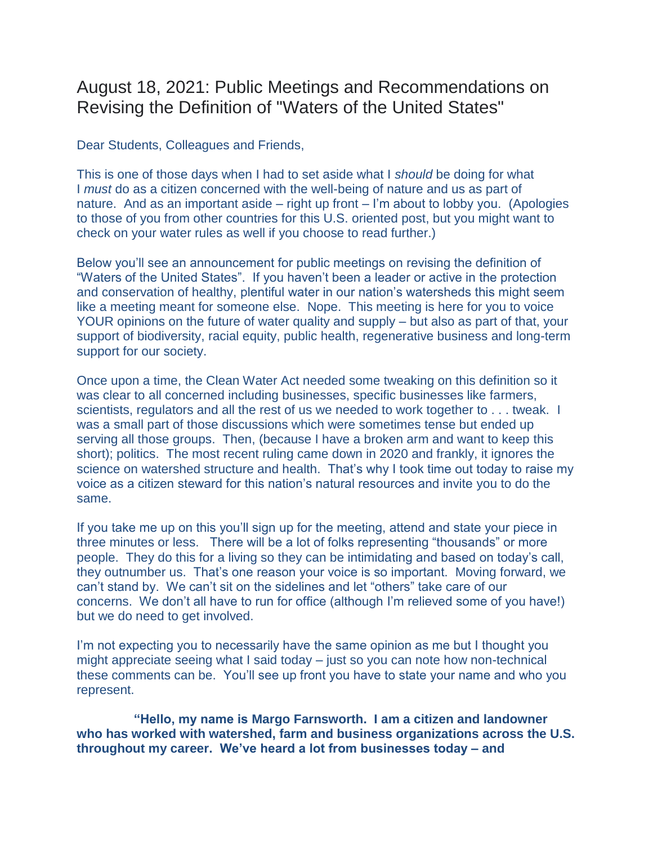## August 18, 2021: Public Meetings and Recommendations on Revising the Definition of "Waters of the United States"

Dear Students, Colleagues and Friends,

This is one of those days when I had to set aside what I *should* be doing for what I *must* do as a citizen concerned with the well-being of nature and us as part of nature. And as an important aside – right up front – I'm about to lobby you. (Apologies to those of you from other countries for this U.S. oriented post, but you might want to check on your water rules as well if you choose to read further.)

Below you'll see an announcement for public meetings on revising the definition of "Waters of the United States". If you haven't been a leader or active in the protection and conservation of healthy, plentiful water in our nation's watersheds this might seem like a meeting meant for someone else. Nope. This meeting is here for you to voice YOUR opinions on the future of water quality and supply – but also as part of that, your support of biodiversity, racial equity, public health, regenerative business and long-term support for our society.

Once upon a time, the Clean Water Act needed some tweaking on this definition so it was clear to all concerned including businesses, specific businesses like farmers, scientists, regulators and all the rest of us we needed to work together to . . . tweak. I was a small part of those discussions which were sometimes tense but ended up serving all those groups. Then, (because I have a broken arm and want to keep this short); politics. The most recent ruling came down in 2020 and frankly, it ignores the science on watershed structure and health. That's why I took time out today to raise my voice as a citizen steward for this nation's natural resources and invite you to do the same.

If you take me up on this you'll sign up for the meeting, attend and state your piece in three minutes or less. There will be a lot of folks representing "thousands" or more people. They do this for a living so they can be intimidating and based on today's call, they outnumber us. That's one reason your voice is so important. Moving forward, we can't stand by. We can't sit on the sidelines and let "others" take care of our concerns. We don't all have to run for office (although I'm relieved some of you have!) but we do need to get involved.

I'm not expecting you to necessarily have the same opinion as me but I thought you might appreciate seeing what I said today – just so you can note how non-technical these comments can be. You'll see up front you have to state your name and who you represent.

 **"Hello, my name is Margo Farnsworth. I am a citizen and landowner who has worked with watershed, farm and business organizations across the U.S. throughout my career. We've heard a lot from businesses today – and**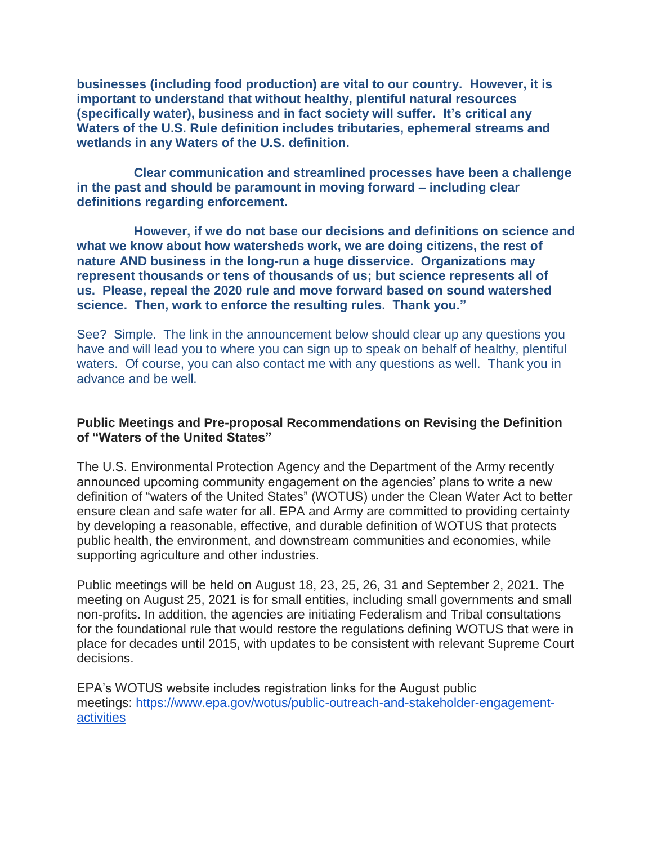**businesses (including food production) are vital to our country. However, it is important to understand that without healthy, plentiful natural resources (specifically water), business and in fact society will suffer. It's critical any Waters of the U.S. Rule definition includes tributaries, ephemeral streams and wetlands in any Waters of the U.S. definition.**

 **Clear communication and streamlined processes have been a challenge in the past and should be paramount in moving forward – including clear definitions regarding enforcement.**

 **However, if we do not base our decisions and definitions on science and what we know about how watersheds work, we are doing citizens, the rest of nature AND business in the long-run a huge disservice. Organizations may represent thousands or tens of thousands of us; but science represents all of us. Please, repeal the 2020 rule and move forward based on sound watershed science. Then, work to enforce the resulting rules. Thank you."**

See? Simple. The link in the announcement below should clear up any questions you have and will lead you to where you can sign up to speak on behalf of healthy, plentiful waters. Of course, you can also contact me with any questions as well. Thank you in advance and be well.

## **Public Meetings and Pre-proposal Recommendations on Revising the Definition of "Waters of the United States"**

The U.S. Environmental Protection Agency and the Department of the Army recently announced upcoming community engagement on the agencies' plans to write a new definition of "waters of the United States" (WOTUS) under the Clean Water Act to better ensure clean and safe water for all. EPA and Army are committed to providing certainty by developing a reasonable, effective, and durable definition of WOTUS that protects public health, the environment, and downstream communities and economies, while supporting agriculture and other industries.

Public meetings will be held on August 18, 23, 25, 26, 31 and September 2, 2021. The meeting on August 25, 2021 is for small entities, including small governments and small non-profits. In addition, the agencies are initiating Federalism and Tribal consultations for the foundational rule that would restore the regulations defining WOTUS that were in place for decades until 2015, with updates to be consistent with relevant Supreme Court decisions.

EPA's WOTUS website includes registration links for the August public meetings: [https://www.epa.gov/wotus/public-outreach-and-stakeholder-engagement](https://www.epa.gov/wotus/public-outreach-and-stakeholder-engagement-activities)[activities](https://www.epa.gov/wotus/public-outreach-and-stakeholder-engagement-activities)